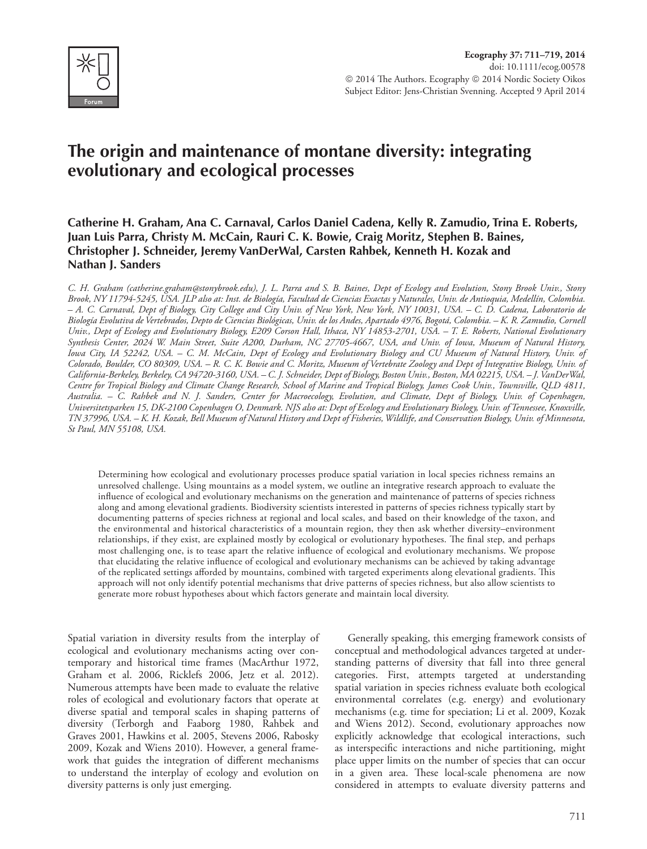

# **The origin and maintenance of montane diversity: integrating evolutionary and ecological processes**

## Catherine H. Graham, Ana C. Carnaval, Carlos Daniel Cadena, Kelly R. Zamudio, Trina E. Roberts, Juan Luis Parra, Christy M. McCain, Rauri C. K. Bowie, Craig Moritz, Stephen B. Baines, **Christopher J. Schneider, Jeremy VanDerWal, Carsten Rahbek, Kenneth H. Kozak and Nathan J. Sanders**

 *C. H. Graham (catherine.graham@stonybrook.edu), J. L. Parra and S. B. Baines, Dept of Ecology and Evolution, Stony Brook Univ., Stony*  Brook, NY 11794-5245, USA. JLP also at: Inst. de Biología, Facultad de Ciencias Exactas y Naturales, Univ. de Antioquia, Medellín, Colombia.  *– A. C. Carnaval, Dept of Biology, City College and City Univ. of New York, New York, NY 10031, USA. – C. D. Cadena, Laboratorio de*  Biología Evolutiva de Vertebrados, Depto de Ciencias Biológicas, Univ. de los Andes, Apartado 4976, Bogotá, Colombia. – K. R. Zamudio, Cornell *Univ., Dept of Ecology and Evolutionary Biology, E209 Corson Hall, Ithaca, NY 14853-2701, USA. – T. E. Roberts, National Evolutionary Synthesis Center, 2024 W. Main Street, Suite A200, Durham, NC 27705-4667, USA, and Univ. of Iowa, Museum of Natural History, Iowa City, IA 52242, USA. – C. M. McCain, Dept of Ecology and Evolutionary Biology and CU Museum of Natural History, Univ. of Colorado, Boulder, CO 80309, USA. – R. C. K. Bowie and C. Moritz, Museum of Vertebrate Zoology and Dept of Integrative Biology, Univ. of California-Berkeley, Berkeley, CA 94720-3160, USA. – C. J. Schneider, Dept of Biology, Boston Univ., Boston, MA 02215, USA. – J. VanDerWal, Centre for Tropical Biology and Climate Change Research, School of Marine and Tropical Biology, James Cook Univ., Townsville, QLD 4811, Australia. – C. Rahbek and N. J. Sanders, Center for Macroecology, Evolution, and Climate, Dept of Biology, Univ. of Copenhagen, Universitetsparken 15, DK-2100 Copenhagen O, Denmark. NJS also at: Dept of Ecology and Evolutionary Biology, Univ. of Tennessee, Knoxville, TN 37996, USA. – K. H. Kozak, Bell Museum of Natural History and Dept of Fisheries, Wildlife, and Conservation Biology, Univ. of Minnesota, St Paul, MN 55108, USA.* 

 Determining how ecological and evolutionary processes produce spatial variation in local species richness remains an unresolved challenge. Using mountains as a model system, we outline an integrative research approach to evaluate the influence of ecological and evolutionary mechanisms on the generation and maintenance of patterns of species richness along and among elevational gradients. Biodiversity scientists interested in patterns of species richness typically start by documenting patterns of species richness at regional and local scales, and based on their knowledge of the taxon, and the environmental and historical characteristics of a mountain region, they then ask whether diversity-environment relationships, if they exist, are explained mostly by ecological or evolutionary hypotheses. The final step, and perhaps most challenging one, is to tease apart the relative influence of ecological and evolutionary mechanisms. We propose that elucidating the relative influence of ecological and evolutionary mechanisms can be achieved by taking advantage of the replicated settings afforded by mountains, combined with targeted experiments along elevational gradients. This approach will not only identify potential mechanisms that drive patterns of species richness, but also allow scientists to generate more robust hypotheses about which factors generate and maintain local diversity.

 Spatial variation in diversity results from the interplay of ecological and evolutionary mechanisms acting over contemporary and historical time frames (MacArthur 1972, Graham et al. 2006, Ricklefs 2006, Jetz et al. 2012). Numerous attempts have been made to evaluate the relative roles of ecological and evolutionary factors that operate at diverse spatial and temporal scales in shaping patterns of diversity (Terborgh and Faaborg 1980, Rahbek and Graves 2001, Hawkins et al. 2005, Stevens 2006, Rabosky 2009, Kozak and Wiens 2010). However, a general framework that guides the integration of different mechanisms to understand the interplay of ecology and evolution on diversity patterns is only just emerging.

 Generally speaking, this emerging framework consists of conceptual and methodological advances targeted at understanding patterns of diversity that fall into three general categories. First, attempts targeted at understanding spatial variation in species richness evaluate both ecological environmental correlates (e.g. energy) and evolutionary mechanisms (e.g. time for speciation; Li et al. 2009, Kozak and Wiens 2012). Second, evolutionary approaches now explicitly acknowledge that ecological interactions, such as interspecific interactions and niche partitioning, might place upper limits on the number of species that can occur in a given area. These local-scale phenomena are now considered in attempts to evaluate diversity patterns and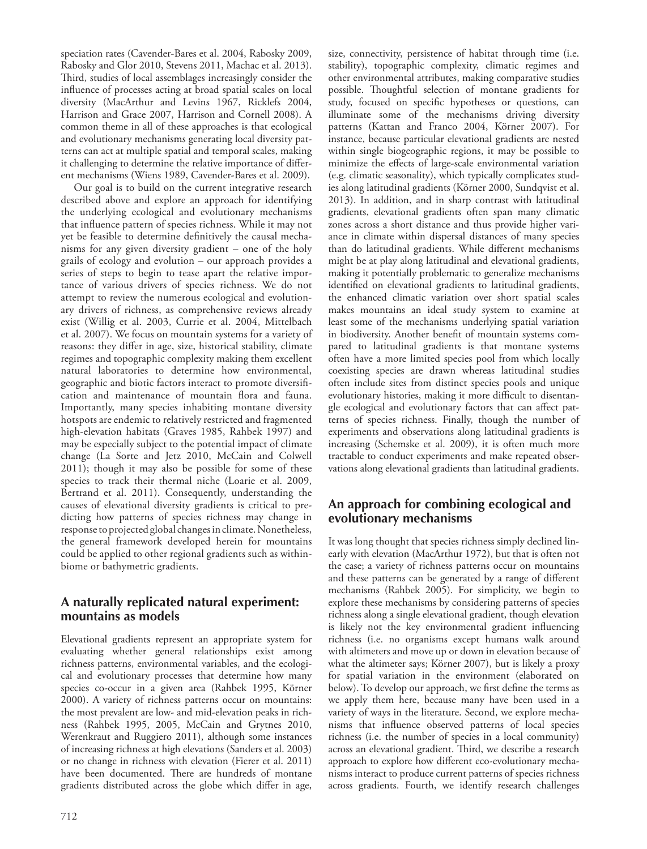speciation rates (Cavender-Bares et al. 2004, Rabosky 2009, Rabosky and Glor 2010, Stevens 2011, Machac et al. 2013). Third, studies of local assemblages increasingly consider the influence of processes acting at broad spatial scales on local diversity (MacArthur and Levins 1967, Ricklefs 2004, Harrison and Grace 2007, Harrison and Cornell 2008). A common theme in all of these approaches is that ecological and evolutionary mechanisms generating local diversity patterns can act at multiple spatial and temporal scales, making it challenging to determine the relative importance of different mechanisms (Wiens 1989, Cavender-Bares et al. 2009).

 Our goal is to build on the current integrative research described above and explore an approach for identifying the underlying ecological and evolutionary mechanisms that influence pattern of species richness. While it may not yet be feasible to determine definitively the causal mechanisms for any given diversity gradient – one of the holy grails of ecology and evolution – our approach provides a series of steps to begin to tease apart the relative importance of various drivers of species richness. We do not attempt to review the numerous ecological and evolutionary drivers of richness, as comprehensive reviews already exist (Willig et al. 2003, Currie et al. 2004, Mittelbach et al. 2007). We focus on mountain systems for a variety of reasons: they differ in age, size, historical stability, climate regimes and topographic complexity making them excellent natural laboratories to determine how environmental, geographic and biotic factors interact to promote diversification and maintenance of mountain flora and fauna. Importantly, many species inhabiting montane diversity hotspots are endemic to relatively restricted and fragmented high-elevation habitats (Graves 1985, Rahbek 1997) and may be especially subject to the potential impact of climate change (La Sorte and Jetz 2010, McCain and Colwell 2011); though it may also be possible for some of these species to track their thermal niche (Loarie et al. 2009, Bertrand et al. 2011). Consequently, understanding the causes of elevational diversity gradients is critical to predicting how patterns of species richness may change in response to projected global changes in climate. Nonetheless, the general framework developed herein for mountains could be applied to other regional gradients such as withinbiome or bathymetric gradients.

# **A naturally replicated natural experiment: mountains as models**

 Elevational gradients represent an appropriate system for evaluating whether general relationships exist among richness patterns, environmental variables, and the ecological and evolutionary processes that determine how many species co-occur in a given area (Rahbek 1995, Körner 2000). A variety of richness patterns occur on mountains: the most prevalent are low- and mid-elevation peaks in richness (Rahbek 1995, 2005, McCain and Grytnes 2010, Werenkraut and Ruggiero 2011), although some instances of increasing richness at high elevations (Sanders et al. 2003) or no change in richness with elevation (Fierer et al. 2011) have been documented. There are hundreds of montane gradients distributed across the globe which differ in age,

712

size, connectivity, persistence of habitat through time (i.e. stability), topographic complexity, climatic regimes and other environmental attributes, making comparative studies possible. Thoughtful selection of montane gradients for study, focused on specific hypotheses or questions, can illuminate some of the mechanisms driving diversity patterns (Kattan and Franco 2004, Körner 2007). For instance, because particular elevational gradients are nested within single biogeographic regions, it may be possible to minimize the effects of large-scale environmental variation (e.g. climatic seasonality), which typically complicates studies along latitudinal gradients (Körner 2000, Sundqvist et al. 2013). In addition, and in sharp contrast with latitudinal gradients, elevational gradients often span many climatic zones across a short distance and thus provide higher variance in climate within dispersal distances of many species than do latitudinal gradients. While different mechanisms might be at play along latitudinal and elevational gradients, making it potentially problematic to generalize mechanisms identified on elevational gradients to latitudinal gradients, the enhanced climatic variation over short spatial scales makes mountains an ideal study system to examine at least some of the mechanisms underlying spatial variation in biodiversity. Another benefit of mountain systems compared to latitudinal gradients is that montane systems often have a more limited species pool from which locally coexisting species are drawn whereas latitudinal studies often include sites from distinct species pools and unique evolutionary histories, making it more difficult to disentangle ecological and evolutionary factors that can affect patterns of species richness. Finally, though the number of experiments and observations along latitudinal gradients is increasing (Schemske et al. 2009), it is often much more tractable to conduct experiments and make repeated observations along elevational gradients than latitudinal gradients.

# **An approach for combining ecological and evolutionary mechanisms**

 It was long thought that species richness simply declined linearly with elevation (MacArthur 1972), but that is often not the case; a variety of richness patterns occur on mountains and these patterns can be generated by a range of different mechanisms (Rahbek 2005). For simplicity, we begin to explore these mechanisms by considering patterns of species richness along a single elevational gradient, though elevation is likely not the key environmental gradient influencing richness (i.e. no organisms except humans walk around with altimeters and move up or down in elevation because of what the altimeter says; Körner 2007), but is likely a proxy for spatial variation in the environment (elaborated on below). To develop our approach, we first define the terms as we apply them here, because many have been used in a variety of ways in the literature. Second, we explore mechanisms that influence observed patterns of local species richness (i.e. the number of species in a local community) across an elevational gradient. Third, we describe a research approach to explore how different eco-evolutionary mechanisms interact to produce current patterns of species richness across gradients. Fourth, we identify research challenges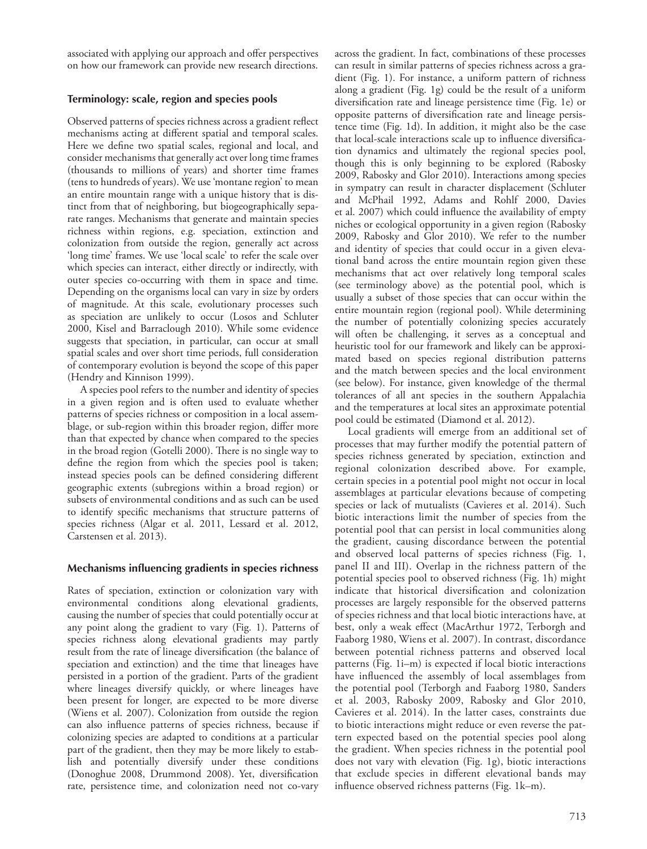associated with applying our approach and offer perspectives on how our framework can provide new research directions.

### **Terminology: scale, region and species pools**

Observed patterns of species richness across a gradient reflect mechanisms acting at different spatial and temporal scales. Here we define two spatial scales, regional and local, and consider mechanisms that generally act over long time frames (thousands to millions of years) and shorter time frames (tens to hundreds of years). We use 'montane region' to mean an entire mountain range with a unique history that is distinct from that of neighboring, but biogeographically separate ranges. Mechanisms that generate and maintain species richness within regions, e.g. speciation, extinction and colonization from outside the region, generally act across 'long time' frames. We use 'local scale' to refer the scale over which species can interact, either directly or indirectly, with outer species co-occurring with them in space and time. Depending on the organisms local can vary in size by orders of magnitude. At this scale, evolutionary processes such as speciation are unlikely to occur (Losos and Schluter 2000, Kisel and Barraclough 2010). While some evidence suggests that speciation, in particular, can occur at small spatial scales and over short time periods, full consideration of contemporary evolution is beyond the scope of this paper (Hendry and Kinnison 1999).

 A species pool refers to the number and identity of species in a given region and is often used to evaluate whether patterns of species richness or composition in a local assemblage, or sub-region within this broader region, differ more than that expected by chance when compared to the species in the broad region (Gotelli 2000). There is no single way to define the region from which the species pool is taken; instead species pools can be defined considering different geographic extents (subregions within a broad region) or subsets of environmental conditions and as such can be used to identify specific mechanisms that structure patterns of species richness (Algar et al. 2011, Lessard et al. 2012, Carstensen et al. 2013).

### **Mechanisms infl uencing gradients in species richness**

 Rates of speciation, extinction or colonization vary with environmental conditions along elevational gradients, causing the number of species that could potentially occur at any point along the gradient to vary (Fig. 1). Patterns of species richness along elevational gradients may partly result from the rate of lineage diversification (the balance of speciation and extinction) and the time that lineages have persisted in a portion of the gradient. Parts of the gradient where lineages diversify quickly, or where lineages have been present for longer, are expected to be more diverse (Wiens et al. 2007). Colonization from outside the region can also influence patterns of species richness, because if colonizing species are adapted to conditions at a particular part of the gradient, then they may be more likely to establish and potentially diversify under these conditions (Donoghue 2008, Drummond 2008). Yet, diversification rate, persistence time, and colonization need not co-vary

across the gradient. In fact, combinations of these processes can result in similar patterns of species richness across a gradient (Fig. 1). For instance, a uniform pattern of richness along a gradient (Fig. 1g) could be the result of a uniform diversification rate and lineage persistence time (Fig. 1e) or opposite patterns of diversification rate and lineage persistence time (Fig. 1d). In addition, it might also be the case that local-scale interactions scale up to influence diversification dynamics and ultimately the regional species pool, though this is only beginning to be explored (Rabosky 2009, Rabosky and Glor 2010). Interactions among species in sympatry can result in character displacement (Schluter and McPhail 1992, Adams and Rohlf 2000, Davies et al. 2007) which could influence the availability of empty niches or ecological opportunity in a given region (Rabosky 2009, Rabosky and Glor 2010). We refer to the number and identity of species that could occur in a given elevational band across the entire mountain region given these mechanisms that act over relatively long temporal scales (see terminology above) as the potential pool, which is usually a subset of those species that can occur within the entire mountain region (regional pool). While determining the number of potentially colonizing species accurately will often be challenging, it serves as a conceptual and heuristic tool for our framework and likely can be approximated based on species regional distribution patterns and the match between species and the local environment (see below). For instance, given knowledge of the thermal tolerances of all ant species in the southern Appalachia and the temperatures at local sites an approximate potential pool could be estimated (Diamond et al. 2012).

 Local gradients will emerge from an additional set of processes that may further modify the potential pattern of species richness generated by speciation, extinction and regional colonization described above. For example, certain species in a potential pool might not occur in local assemblages at particular elevations because of competing species or lack of mutualists (Cavieres et al. 2014). Such biotic interactions limit the number of species from the potential pool that can persist in local communities along the gradient, causing discordance between the potential and observed local patterns of species richness (Fig. 1, panel II and III). Overlap in the richness pattern of the potential species pool to observed richness (Fig. 1h) might indicate that historical diversification and colonization processes are largely responsible for the observed patterns of species richness and that local biotic interactions have, at best, only a weak effect (MacArthur 1972, Terborgh and Faaborg 1980, Wiens et al. 2007). In contrast, discordance between potential richness patterns and observed local patterns (Fig. 1i-m) is expected if local biotic interactions have influenced the assembly of local assemblages from the potential pool (Terborgh and Faaborg 1980, Sanders et al. 2003, Rabosky 2009, Rabosky and Glor 2010, Cavieres et al. 2014). In the latter cases, constraints due to biotic interactions might reduce or even reverse the pattern expected based on the potential species pool along the gradient. When species richness in the potential pool does not vary with elevation (Fig. 1g), biotic interactions that exclude species in different elevational bands may influence observed richness patterns (Fig. 1k-m).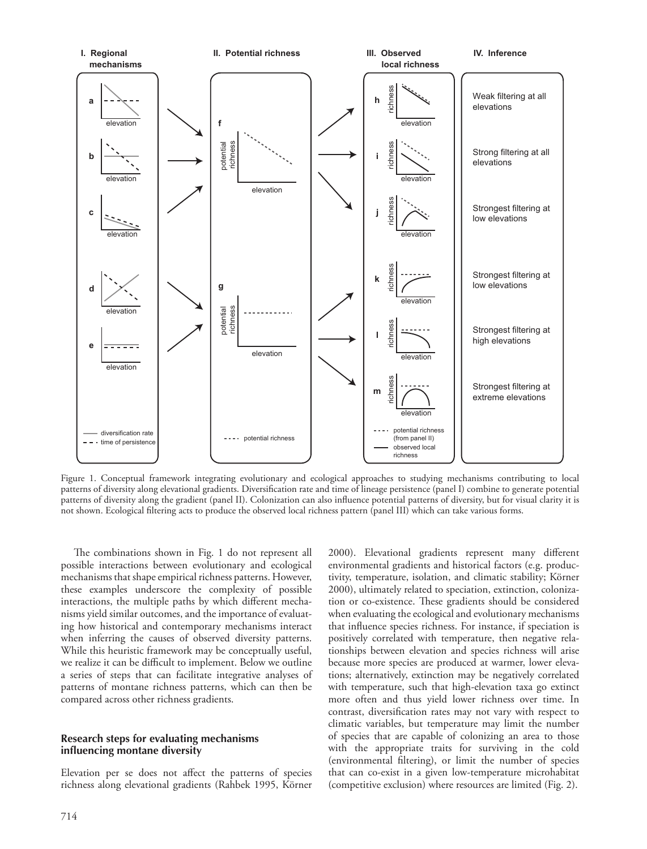

 Figure 1. Conceptual framework integrating evolutionary and ecological approaches to studying mechanisms contributing to local patterns of diversity along elevational gradients. Diversification rate and time of lineage persistence (panel I) combine to generate potential patterns of diversity along the gradient (panel II). Colonization can also influence potential patterns of diversity, but for visual clarity it is not shown. Ecological filtering acts to produce the observed local richness pattern (panel III) which can take various forms.

The combinations shown in Fig. 1 do not represent all possible interactions between evolutionary and ecological mechanisms that shape empirical richness patterns. However, these examples underscore the complexity of possible interactions, the multiple paths by which different mechanisms yield similar outcomes, and the importance of evaluating how historical and contemporary mechanisms interact when inferring the causes of observed diversity patterns. While this heuristic framework may be conceptually useful, we realize it can be difficult to implement. Below we outline a series of steps that can facilitate integrative analyses of patterns of montane richness patterns, which can then be compared across other richness gradients.

#### **Research steps for evaluating mechanisms infl uencing montane diversity**

Elevation per se does not affect the patterns of species richness along elevational gradients (Rahbek 1995, Körner 2000). Elevational gradients represent many different environmental gradients and historical factors (e.g. productivity, temperature, isolation, and climatic stability; Körner 2000), ultimately related to speciation, extinction, colonization or co-existence. These gradients should be considered when evaluating the ecological and evolutionary mechanisms that influence species richness. For instance, if speciation is positively correlated with temperature, then negative relationships between elevation and species richness will arise because more species are produced at warmer, lower elevations; alternatively, extinction may be negatively correlated with temperature, such that high-elevation taxa go extinct more often and thus yield lower richness over time. In contrast, diversification rates may not vary with respect to climatic variables, but temperature may limit the number of species that are capable of colonizing an area to those with the appropriate traits for surviving in the cold (environmental filtering), or limit the number of species that can co-exist in a given low-temperature microhabitat (competitive exclusion) where resources are limited (Fig. 2).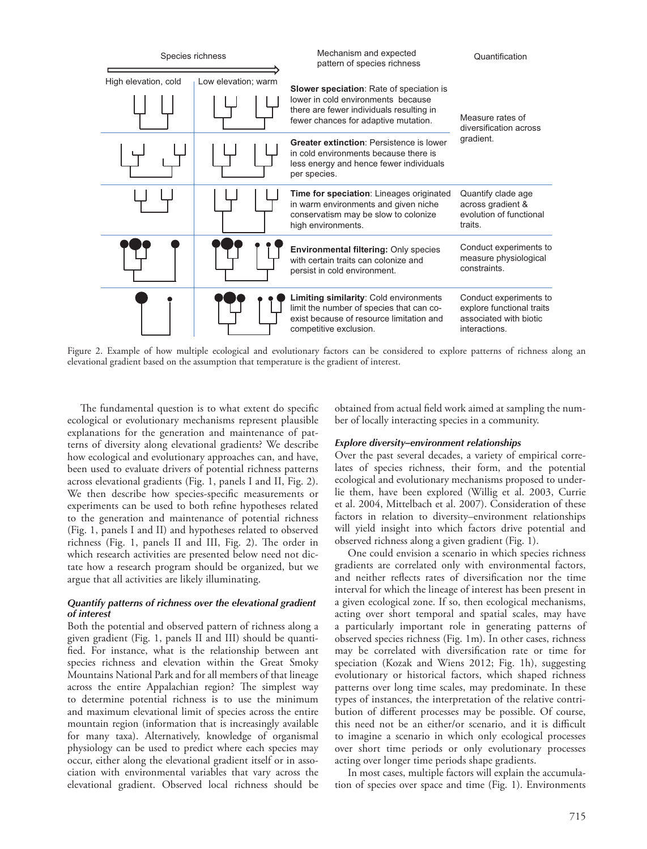

 Figure 2. Example of how multiple ecological and evolutionary factors can be considered to explore patterns of richness along an elevational gradient based on the assumption that temperature is the gradient of interest.

The fundamental question is to what extent do specific ecological or evolutionary mechanisms represent plausible explanations for the generation and maintenance of patterns of diversity along elevational gradients? We describe how ecological and evolutionary approaches can, and have, been used to evaluate drivers of potential richness patterns across elevational gradients (Fig. 1, panels I and II, Fig. 2). We then describe how species-specific measurements or experiments can be used to both refine hypotheses related to the generation and maintenance of potential richness (Fig. 1, panels I and II) and hypotheses related to observed richness (Fig. 1, panels II and III, Fig. 2). The order in which research activities are presented below need not dictate how a research program should be organized, but we argue that all activities are likely illuminating.

#### *Quantify patterns of richness over the elevational gradient of interest*

 Both the potential and observed pattern of richness along a given gradient (Fig. 1, panels II and III) should be quantified. For instance, what is the relationship between ant species richness and elevation within the Great Smoky Mountains National Park and for all members of that lineage across the entire Appalachian region? The simplest way to determine potential richness is to use the minimum and maximum elevational limit of species across the entire mountain region (information that is increasingly available for many taxa). Alternatively, knowledge of organismal physiology can be used to predict where each species may occur, either along the elevational gradient itself or in association with environmental variables that vary across the elevational gradient. Observed local richness should be obtained from actual field work aimed at sampling the number of locally interacting species in a community.

#### *Explore diversity – environment relationships*

 Over the past several decades, a variety of empirical correlates of species richness, their form, and the potential ecological and evolutionary mechanisms proposed to underlie them, have been explored (Willig et al. 2003, Currie et al. 2004, Mittelbach et al. 2007). Consideration of these factors in relation to diversity-environment relationships will yield insight into which factors drive potential and observed richness along a given gradient (Fig. 1).

 One could envision a scenario in which species richness gradients are correlated only with environmental factors, and neither reflects rates of diversification nor the time interval for which the lineage of interest has been present in a given ecological zone. If so, then ecological mechanisms, acting over short temporal and spatial scales, may have a particularly important role in generating patterns of observed species richness (Fig. 1m). In other cases, richness may be correlated with diversification rate or time for speciation (Kozak and Wiens 2012; Fig. 1h), suggesting evolutionary or historical factors, which shaped richness patterns over long time scales, may predominate. In these types of instances, the interpretation of the relative contribution of different processes may be possible. Of course, this need not be an either/or scenario, and it is difficult to imagine a scenario in which only ecological processes over short time periods or only evolutionary processes acting over longer time periods shape gradients.

 In most cases, multiple factors will explain the accumulation of species over space and time (Fig. 1). Environments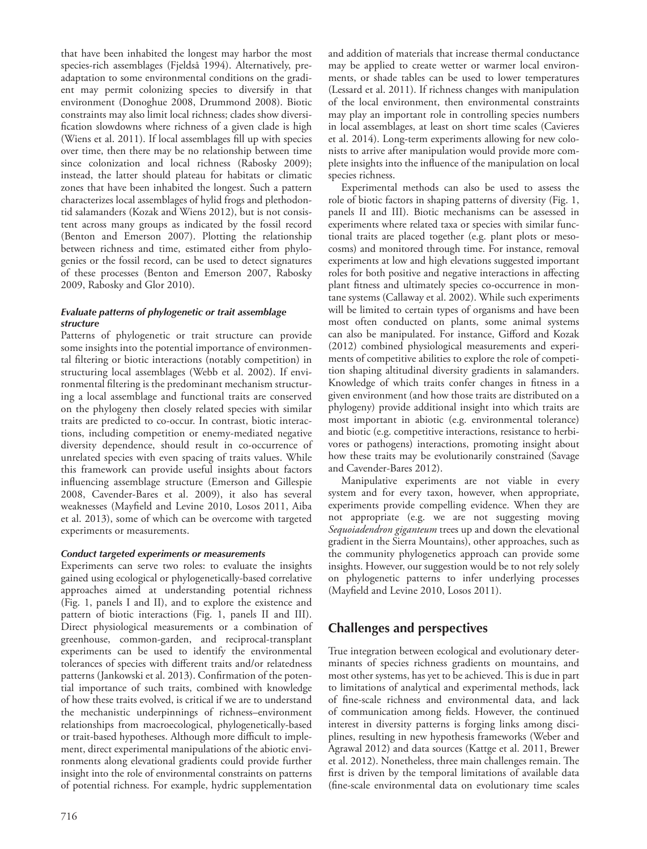that have been inhabited the longest may harbor the most species-rich assemblages (Fjeldså 1994). Alternatively, preadaptation to some environmental conditions on the gradient may permit colonizing species to diversify in that environment (Donoghue 2008, Drummond 2008). Biotic constraints may also limit local richness; clades show diversification slowdowns where richness of a given clade is high (Wiens et al. 2011). If local assemblages fill up with species over time, then there may be no relationship between time since colonization and local richness (Rabosky 2009); instead, the latter should plateau for habitats or climatic zones that have been inhabited the longest. Such a pattern characterizes local assemblages of hylid frogs and plethodontid salamanders (Kozak and Wiens 2012), but is not consistent across many groups as indicated by the fossil record (Benton and Emerson 2007). Plotting the relationship between richness and time, estimated either from phylogenies or the fossil record, can be used to detect signatures of these processes (Benton and Emerson 2007, Rabosky 2009, Rabosky and Glor 2010).

#### *Evaluate patterns of phylogenetic or trait assemblage structure*

 Patterns of phylogenetic or trait structure can provide some insights into the potential importance of environmental filtering or biotic interactions (notably competition) in structuring local assemblages (Webb et al. 2002). If environmental filtering is the predominant mechanism structuring a local assemblage and functional traits are conserved on the phylogeny then closely related species with similar traits are predicted to co-occur. In contrast, biotic interactions, including competition or enemy-mediated negative diversity dependence, should result in co-occurrence of unrelated species with even spacing of traits values. While this framework can provide useful insights about factors influencing assemblage structure (Emerson and Gillespie 2008, Cavender-Bares et al. 2009), it also has several weaknesses (Mayfield and Levine 2010, Losos 2011, Aiba et al. 2013), some of which can be overcome with targeted experiments or measurements.

#### *Conduct targeted experiments or measurements*

 Experiments can serve two roles: to evaluate the insights gained using ecological or phylogenetically-based correlative approaches aimed at understanding potential richness (Fig. 1, panels I and II), and to explore the existence and pattern of biotic interactions (Fig. 1, panels II and III). Direct physiological measurements or a combination of greenhouse, common-garden, and reciprocal-transplant experiments can be used to identify the environmental tolerances of species with different traits and/or relatedness patterns (Jankowski et al. 2013). Confirmation of the potential importance of such traits, combined with knowledge of how these traits evolved, is critical if we are to understand the mechanistic underpinnings of richness-environment relationships from macroecological, phylogenetically-based or trait-based hypotheses. Although more difficult to implement, direct experimental manipulations of the abiotic environments along elevational gradients could provide further insight into the role of environmental constraints on patterns of potential richness. For example, hydric supplementation

and addition of materials that increase thermal conductance may be applied to create wetter or warmer local environments, or shade tables can be used to lower temperatures (Lessard et al. 2011). If richness changes with manipulation of the local environment, then environmental constraints may play an important role in controlling species numbers in local assemblages, at least on short time scales (Cavieres et al. 2014). Long-term experiments allowing for new colonists to arrive after manipulation would provide more complete insights into the influence of the manipulation on local species richness.

 Experimental methods can also be used to assess the role of biotic factors in shaping patterns of diversity (Fig. 1, panels II and III). Biotic mechanisms can be assessed in experiments where related taxa or species with similar functional traits are placed together (e.g. plant plots or mesocosms) and monitored through time. For instance, removal experiments at low and high elevations suggested important roles for both positive and negative interactions in affecting plant fitness and ultimately species co-occurrence in montane systems (Callaway et al. 2002). While such experiments will be limited to certain types of organisms and have been most often conducted on plants, some animal systems can also be manipulated. For instance, Gifford and Kozak (2012) combined physiological measurements and experiments of competitive abilities to explore the role of competition shaping altitudinal diversity gradients in salamanders. Knowledge of which traits confer changes in fitness in a given environment (and how those traits are distributed on a phylogeny) provide additional insight into which traits are most important in abiotic (e.g. environmental tolerance) and biotic (e.g. competitive interactions, resistance to herbivores or pathogens) interactions, promoting insight about how these traits may be evolutionarily constrained (Savage and Cavender-Bares 2012).

 Manipulative experiments are not viable in every system and for every taxon, however, when appropriate, experiments provide compelling evidence. When they are not appropriate (e.g. we are not suggesting moving *Sequoiadendron giganteum* trees up and down the elevational gradient in the Sierra Mountains), other approaches, such as the community phylogenetics approach can provide some insights. However, our suggestion would be to not rely solely on phylogenetic patterns to infer underlying processes (Mayfield and Levine 2010, Losos 2011).

# **Challenges and perspectives**

 True integration between ecological and evolutionary determinants of species richness gradients on mountains, and most other systems, has yet to be achieved. This is due in part to limitations of analytical and experimental methods, lack of fine-scale richness and environmental data, and lack of communication among fields. However, the continued interest in diversity patterns is forging links among disciplines, resulting in new hypothesis frameworks (Weber and Agrawal 2012) and data sources (Kattge et al. 2011, Brewer et al. 2012). Nonetheless, three main challenges remain. The first is driven by the temporal limitations of available data (fine-scale environmental data on evolutionary time scales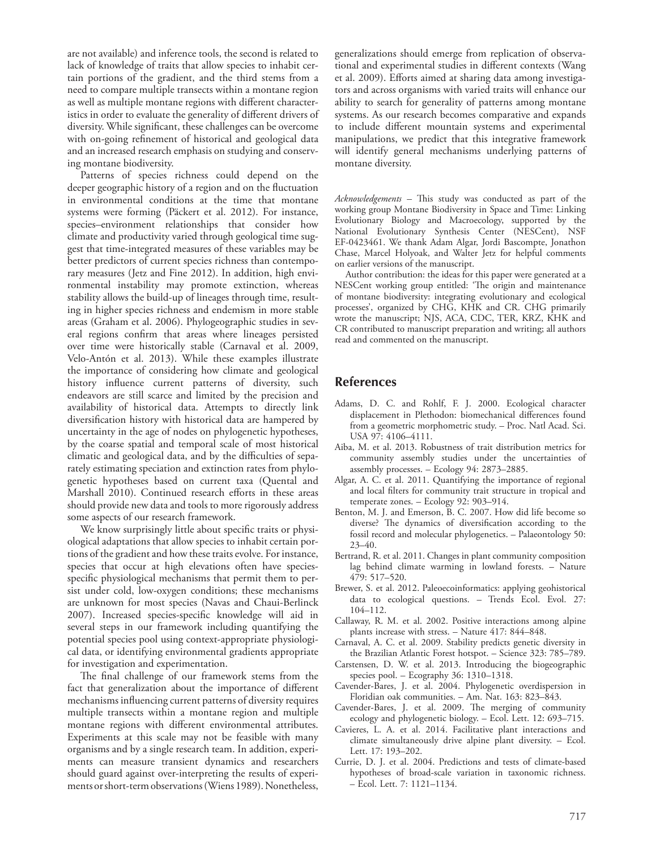are not available) and inference tools, the second is related to lack of knowledge of traits that allow species to inhabit certain portions of the gradient, and the third stems from a need to compare multiple transects within a montane region as well as multiple montane regions with different characteristics in order to evaluate the generality of different drivers of diversity. While significant, these challenges can be overcome with on-going refinement of historical and geological data and an increased research emphasis on studying and conserving montane biodiversity.

 Patterns of species richness could depend on the deeper geographic history of a region and on the fluctuation in environmental conditions at the time that montane systems were forming (Päckert et al. 2012). For instance, species-environment relationships that consider how climate and productivity varied through geological time suggest that time-integrated measures of these variables may be better predictors of current species richness than contemporary measures (Jetz and Fine 2012). In addition, high environmental instability may promote extinction, whereas stability allows the build-up of lineages through time, resulting in higher species richness and endemism in more stable areas (Graham et al. 2006). Phylogeographic studies in several regions confirm that areas where lineages persisted over time were historically stable (Carnaval et al. 2009, Velo-Antón et al. 2013). While these examples illustrate the importance of considering how climate and geological history influence current patterns of diversity, such endeavors are still scarce and limited by the precision and availability of historical data. Attempts to directly link diversification history with historical data are hampered by uncertainty in the age of nodes on phylogenetic hypotheses, by the coarse spatial and temporal scale of most historical climatic and geological data, and by the difficulties of separately estimating speciation and extinction rates from phylogenetic hypotheses based on current taxa (Quental and Marshall 2010). Continued research efforts in these areas should provide new data and tools to more rigorously address some aspects of our research framework.

We know surprisingly little about specific traits or physiological adaptations that allow species to inhabit certain portions of the gradient and how these traits evolve. For instance, species that occur at high elevations often have speciesspecific physiological mechanisms that permit them to persist under cold, low-oxygen conditions; these mechanisms are unknown for most species (Navas and Chaui-Berlinck 2007). Increased species-specific knowledge will aid in several steps in our framework including quantifying the potential species pool using context-appropriate physiological data, or identifying environmental gradients appropriate for investigation and experimentation.

The final challenge of our framework stems from the fact that generalization about the importance of different mechanisms influencing current patterns of diversity requires multiple transects within a montane region and multiple montane regions with different environmental attributes. Experiments at this scale may not be feasible with many organisms and by a single research team. In addition, experiments can measure transient dynamics and researchers should guard against over-interpreting the results of experiments or short-term observations (Wiens 1989). Nonetheless,

generalizations should emerge from replication of observational and experimental studies in different contexts (Wang et al. 2009). Efforts aimed at sharing data among investigators and across organisms with varied traits will enhance our ability to search for generality of patterns among montane systems. As our research becomes comparative and expands to include different mountain systems and experimental manipulations, we predict that this integrative framework will identify general mechanisms underlying patterns of montane diversity.

*Acknowledgements - This study was conducted as part of the* working group Montane Biodiversity in Space and Time: Linking Evolutionary Biology and Macroecology, supported by the National Evolutionary Synthesis Center (NESCent), NSF EF-0423461. We thank Adam Algar, Jordi Bascompte, Jonathon Chase, Marcel Holyoak, and Walter Jetz for helpful comments on earlier versions of the manuscript.

Author contribution: the ideas for this paper were generated at a NESCent working group entitled: 'The origin and maintenance of montane biodiversity: integrating evolutionary and ecological processes', organized by CHG, KHK and CR. CHG primarily wrote the manuscript; NJS, ACA, CDC, TER, KRZ, KHK and CR contributed to manuscript preparation and writing; all authors read and commented on the manuscript.

### **References**

- Adams, D. C. and Rohlf, F. J. 2000. Ecological character displacement in Plethodon: biomechanical differences found from a geometric morphometric study. – Proc. Natl Acad. Sci. USA 97: 4106-4111.
- Aiba, M. et al. 2013. Robustness of trait distribution metrics for community assembly studies under the uncertainties of assembly processes. – Ecology 94: 2873–2885.
- Algar, A. C. et al. 2011. Quantifying the importance of regional and local filters for community trait structure in tropical and temperate zones. - Ecology 92: 903-914.
- Benton, M. J. and Emerson, B. C. 2007. How did life become so diverse? The dynamics of diversification according to the fossil record and molecular phylogenetics. – Palaeontology 50:  $23 - 40.$
- Bertrand, R. et al. 2011. Changes in plant community composition lag behind climate warming in lowland forests. – Nature 479: 517-520.
- Brewer, S. et al. 2012. Paleoecoinformatics: applying geohistorical data to ecological questions. – Trends Ecol. Evol. 27: 104 – 112.
- Callaway, R. M. et al. 2002. Positive interactions among alpine plants increase with stress. - Nature 417: 844-848.
- Carnaval, A. C. et al. 2009. Stability predicts genetic diversity in the Brazilian Atlantic Forest hotspot. - Science 323: 785-789.
- Carstensen, D. W. et al. 2013. Introducing the biogeographic species pool. – Ecography 36:  $1310-1318$ .
- Cavender-Bares, J. et al. 2004. Phylogenetic overdispersion in Floridian oak communities. – Am. Nat. 163: 823–843.
- Cavender-Bares, J. et al. 2009. The merging of community ecology and phylogenetic biology. - Ecol. Lett. 12: 693-715.
- Cavieres, L. A. et al. 2014. Facilitative plant interactions and climate simultaneously drive alpine plant diversity. – Ecol. Lett. 17: 193-202.
- Currie, D. J. et al. 2004. Predictions and tests of climate-based hypotheses of broad-scale variation in taxonomic richness. - Ecol. Lett. 7: 1121-1134.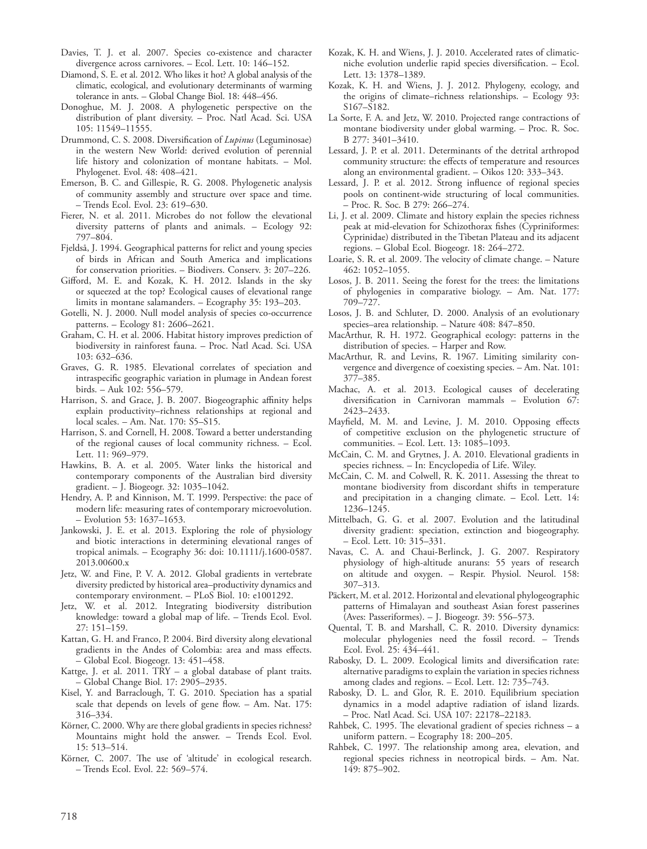- Davies, T. J. et al. 2007. Species co-existence and character divergence across carnivores. - Ecol. Lett. 10: 146-152.
- Diamond, S. E. et al. 2012. Who likes it hot? A global analysis of the climatic, ecological, and evolutionary determinants of warming tolerance in ants. - Global Change Biol. 18: 448-456.
- Donoghue, M. J. 2008. A phylogenetic perspective on the distribution of plant diversity. – Proc. Natl Acad. Sci. USA 105: 11549-11555.
- Drummond, C. S. 2008. Diversification of *Lupinus* (Leguminosae) in the western New World: derived evolution of perennial life history and colonization of montane habitats. – Mol. Phylogenet. Evol. 48: 408-421.
- Emerson, B. C. and Gillespie, R. G. 2008. Phylogenetic analysis of community assembly and structure over space and time. – Trends Ecol. Evol. 23: 619 – 630.
- Fierer, N. et al. 2011. Microbes do not follow the elevational diversity patterns of plants and animals. – Ecology 92: 797-804.
- Fjeldså, J. 1994. Geographical patterns for relict and young species of birds in African and South America and implications for conservation priorities. – Biodivers. Conserv. 3: 207-226.
- Gifford, M. E. and Kozak, K. H. 2012. Islands in the sky or squeezed at the top? Ecological causes of elevational range limits in montane salamanders. - Ecography 35: 193-203.
- Gotelli, N. J. 2000. Null model analysis of species co-occurrence patterns. – Ecology 81: 2606–2621.
- Graham, C. H. et al. 2006. Habitat history improves prediction of biodiversity in rainforest fauna. – Proc. Natl Acad. Sci. USA 103: 632-636.
- Graves, G. R. 1985. Elevational correlates of speciation and intraspecific geographic variation in plumage in Andean forest birds. – Auk 102: 556–579.
- Harrison, S. and Grace, J. B. 2007. Biogeographic affinity helps explain productivity – richness relationships at regional and local scales. – Am. Nat. 170: S5–S15.
- Harrison, S. and Cornell, H. 2008. Toward a better understanding of the regional causes of local community richness. – Ecol. Lett. 11: 969-979.
- Hawkins, B. A. et al. 2005. Water links the historical and contemporary components of the Australian bird diversity gradient. – J. Biogeogr. 32: 1035 – 1042.
- Hendry, A. P. and Kinnison, M. T. 1999. Perspective: the pace of modern life: measuring rates of contemporary microevolution. – Evolution 53: 1637 – 1653.
- Jankowski, J. E. et al. 2013. Exploring the role of physiology and biotic interactions in determining elevational ranges of tropical animals. – Ecography 36: doi: 10.1111/j.1600-0587. 2013.00600.x
- Jetz, W. and Fine, P. V. A. 2012. Global gradients in vertebrate diversity predicted by historical area – productivity dynamics and contemporary environment. – PLoS Biol. 10: e1001292.
- Jetz, W. et al. 2012. Integrating biodiversity distribution knowledge: toward a global map of life. – Trends Ecol. Evol. 27: 151-159.
- Kattan, G. H. and Franco, P. 2004. Bird diversity along elevational gradients in the Andes of Colombia: area and mass effects. - Global Ecol. Biogeogr. 13: 451-458.
- Kattge, J. et al. 2011. TRY a global database of plant traits. – Global Change Biol. 17: 2905 – 2935.
- Kisel, Y. and Barraclough, T. G. 2010. Speciation has a spatial scale that depends on levels of gene flow.  $-$  Am. Nat. 175: 316 – 334.
- Körner, C. 2000. Why are there global gradients in species richness? Mountains might hold the answer. – Trends Ecol. Evol. 15: 513-514.
- Körner, C. 2007. The use of 'altitude' in ecological research. – Trends Ecol. Evol. 22: 569 – 574.
- Kozak, K. H. and Wiens, J. J. 2010. Accelerated rates of climaticniche evolution underlie rapid species diversification. - Ecol. Lett. 13: 1378-1389.
- Kozak, K. H. and Wiens, J. J. 2012. Phylogeny, ecology, and the origins of climate-richness relationships. - Ecology 93: S167-S182.
- La Sorte, F. A. and Jetz, W. 2010. Projected range contractions of montane biodiversity under global warming. – Proc. R. Soc. B 277: 3401-3410.
- Lessard, J. P. et al. 2011. Determinants of the detrital arthropod community structure: the effects of temperature and resources along an environmental gradient. – Oikos 120: 333–343.
- Lessard, J. P. et al. 2012. Strong influence of regional species pools on continent-wide structuring of local communities. – Proc. R. Soc. B 279: 266 – 274.
- Li, J. et al. 2009. Climate and history explain the species richness peak at mid-elevation for Schizothorax fishes (Cypriniformes: Cyprinidae) distributed in the Tibetan Plateau and its adjacent regions. – Global Ecol. Biogeogr. 18: 264–272.
- Loarie, S. R. et al. 2009. The velocity of climate change. Nature 462: 1052-1055.
- Losos, J. B. 2011. Seeing the forest for the trees: the limitations of phylogenies in comparative biology. – Am. Nat. 177: 709-727.
- Losos, J. B. and Schluter, D. 2000. Analysis of an evolutionary species-area relationship. - Nature 408: 847-850.
- MacArthur, R. H. 1972. Geographical ecology: patterns in the distribution of species. – Harper and Row.
- MacArthur, R. and Levins, R. 1967. Limiting similarity convergence and divergence of coexisting species. – Am. Nat. 101: 377 – 385.
- Machac, A. et al. 2013. Ecological causes of decelerating diversification in Carnivoran mammals - Evolution 67: 2423-2433.
- Mayfield, M. M. and Levine, J. M. 2010. Opposing effects of competitive exclusion on the phylogenetic structure of communities. - Ecol. Lett. 13: 1085-1093.
- McCain, C. M. and Grytnes, J. A. 2010. Elevational gradients in species richness. – In: Encyclopedia of Life. Wiley.
- McCain, C. M. and Colwell, R. K. 2011. Assessing the threat to montane biodiversity from discordant shifts in temperature and precipitation in a changing climate. – Ecol. Lett. 14: 1236-1245.
- Mittelbach, G. G. et al. 2007. Evolution and the latitudinal diversity gradient: speciation, extinction and biogeography. – Ecol. Lett. 10: 315 – 331.
- Navas, C. A. and Chaui-Berlinck, J. G. 2007. Respiratory physiology of high-altitude anurans: 55 years of research on altitude and oxygen. – Respir. Physiol. Neurol. 158: 307 – 313.
- Päckert, M. et al. 2012. Horizontal and elevational phylogeographic patterns of Himalayan and southeast Asian forest passerines (Aves: Passeriformes). - J. Biogeogr. 39: 556-573.
- Quental, T. B. and Marshall, C. R. 2010. Diversity dynamics: molecular phylogenies need the fossil record. – Trends Ecol. Evol. 25: 434–441.
- Rabosky, D. L. 2009. Ecological limits and diversification rate: alternative paradigms to explain the variation in species richness among clades and regions. – Ecol. Lett. 12: 735–743.
- Rabosky, D. L. and Glor, R. E. 2010. Equilibrium speciation dynamics in a model adaptive radiation of island lizards. – Proc. Natl Acad. Sci. USA 107: 22178 – 22183.
- Rahbek, C. 1995. The elevational gradient of species richness  $-$  a uniform pattern. - Ecography 18: 200-205.
- Rahbek, C. 1997. The relationship among area, elevation, and regional species richness in neotropical birds. – Am. Nat. 149: 875-902.